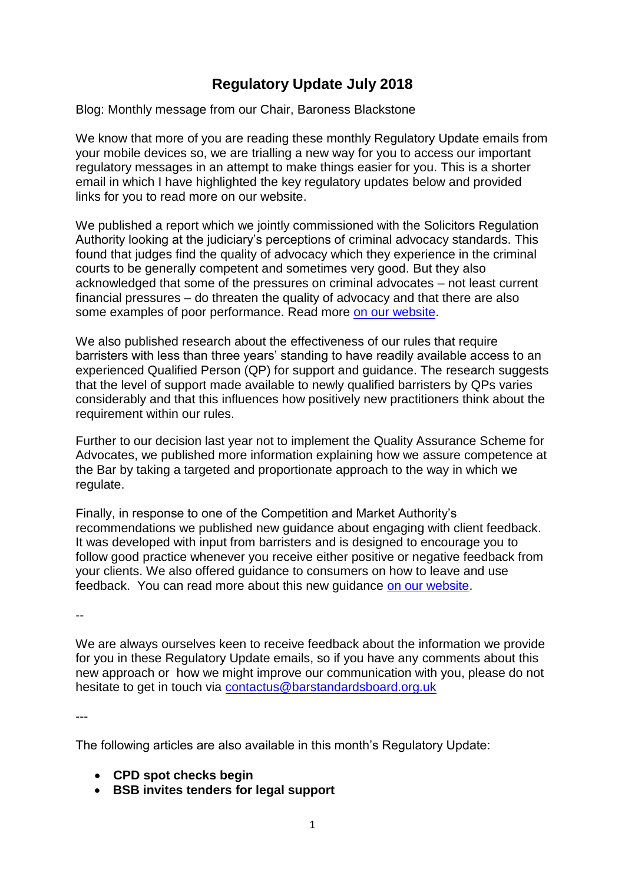# **Regulatory Update July 2018**

Blog: Monthly message from our Chair, Baroness Blackstone

We know that more of you are reading these monthly Regulatory Update emails from your mobile devices so, we are trialling a new way for you to access our important regulatory messages in an attempt to make things easier for you. This is a shorter email in which I have highlighted the key regulatory updates below and provided links for you to read more on our website.

We published a report which we jointly commissioned with the Solicitors Regulation Authority looking at the judiciary's perceptions of criminal advocacy standards. This found that judges find the quality of advocacy which they experience in the criminal courts to be generally competent and sometimes very good. But they also acknowledged that some of the pressures on criminal advocates – not least current financial pressures – do threaten the quality of advocacy and that there are also some examples of poor performance. Read more [on our website.](https://www.barstandardsboard.org.uk/media-centre/press-releases-and-news/regulators-publish-reports-into-criminal-advocacy-standards/)

We also published research about the effectiveness of our rules that require barristers with less than three years' standing to have readily available access to an experienced Qualified Person (QP) for support and guidance. The research suggests that the level of support made available to newly qualified barristers by QPs varies considerably and that this influences how positively new practitioners think about the requirement within our rules.

Further to our decision last year not to implement the Quality Assurance Scheme for Advocates, we published more information explaining how we assure competence at the Bar by taking a targeted and proportionate approach to the way in which we regulate.

Finally, in response to one of the Competition and Market Authority's recommendations we published new guidance about engaging with client feedback. It was developed with input from barristers and is designed to encourage you to follow good practice whenever you receive either positive or negative feedback from your clients. We also offered guidance to consumers on how to leave and use feedback. You can read more about this new guidance [on our website.](https://www.barstandardsboard.org.uk/media-centre/press-releases-and-news/bsb-shares-good-practice-for-barristers-and-advice-for-clients-on-consumer-feedback/)

--

We are always ourselves keen to receive feedback about the information we provide for you in these Regulatory Update emails, so if you have any comments about this new approach or how we might improve our communication with you, please do not hesitate to get in touch via [contactus@barstandardsboard.org.uk](mailto:contactus@barstandardsboard.org.uk)

---

The following articles are also available in this month's Regulatory Update:

- **CPD spot checks begin**
- **BSB invites tenders for legal support**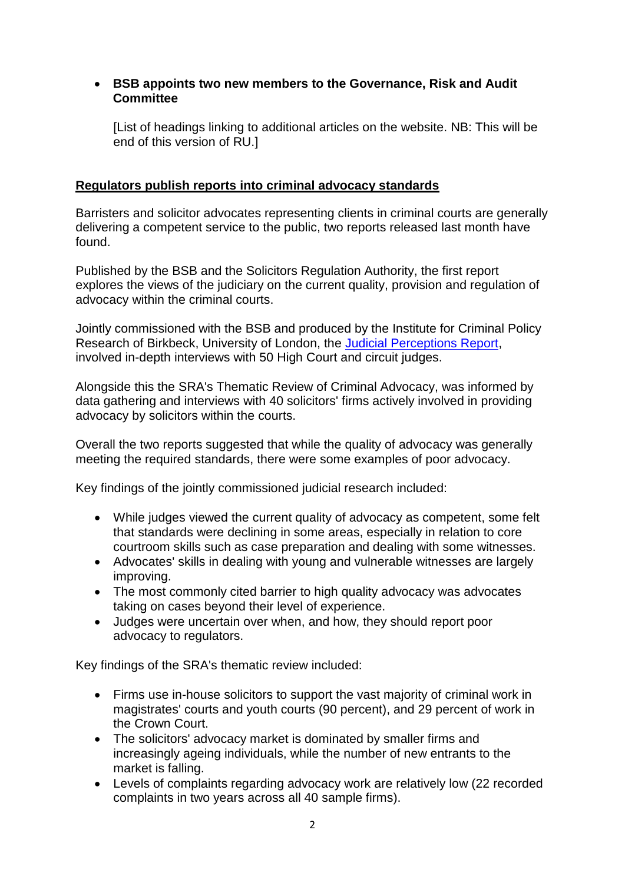#### • **BSB appoints two new members to the Governance, Risk and Audit Committee**

[List of headings linking to additional articles on the website. NB: This will be end of this version of RU.]

# **Regulators publish reports into criminal advocacy standards**

Barristers and solicitor advocates representing clients in criminal courts are generally delivering a competent service to the public, two reports released last month have found.

Published by the BSB and the Solicitors Regulation Authority, the first report explores the views of the judiciary on the current quality, provision and regulation of advocacy within the criminal courts.

Jointly commissioned with the BSB and produced by the Institute for Criminal Policy Research of Birkbeck, University of London, the [Judicial Perceptions Report,](https://www.barstandardsboard.org.uk/media/1939251/judicial_perceptions_of_criminal_advocacy__final_report__june_2018.pdf) involved in-depth interviews with 50 High Court and circuit judges.

Alongside this the SRA's Thematic Review of Criminal Advocacy, was informed by data gathering and interviews with 40 solicitors' firms actively involved in providing advocacy by solicitors within the courts.

Overall the two reports suggested that while the quality of advocacy was generally meeting the required standards, there were some examples of poor advocacy.

Key findings of the jointly commissioned judicial research included:

- While judges viewed the current quality of advocacy as competent, some felt that standards were declining in some areas, especially in relation to core courtroom skills such as case preparation and dealing with some witnesses.
- Advocates' skills in dealing with young and vulnerable witnesses are largely improving.
- The most commonly cited barrier to high quality advocacy was advocates taking on cases beyond their level of experience.
- Judges were uncertain over when, and how, they should report poor advocacy to regulators.

Key findings of the SRA's thematic review included:

- Firms use in-house solicitors to support the vast majority of criminal work in magistrates' courts and youth courts (90 percent), and 29 percent of work in the Crown Court.
- The solicitors' advocacy market is dominated by smaller firms and increasingly ageing individuals, while the number of new entrants to the market is falling.
- Levels of complaints regarding advocacy work are relatively low (22 recorded complaints in two years across all 40 sample firms).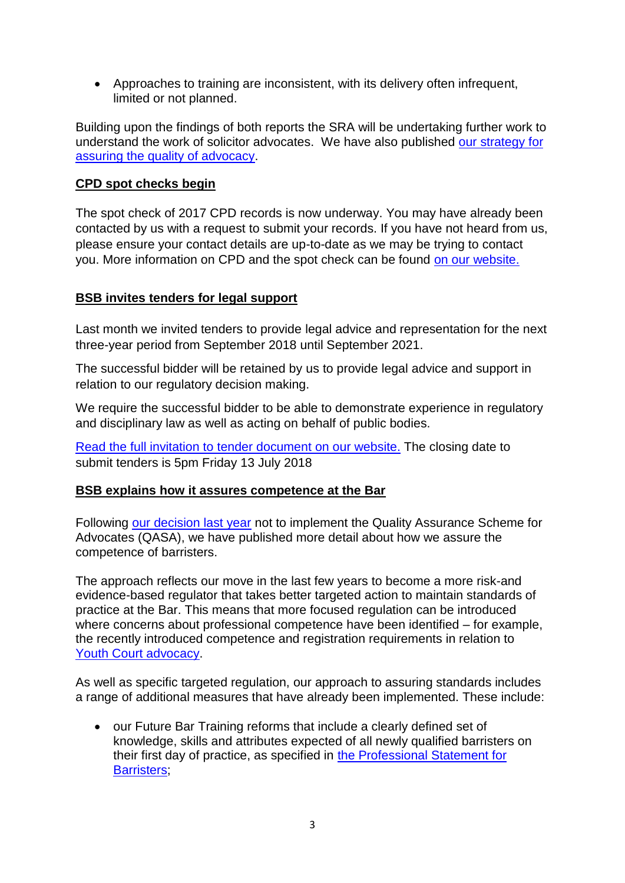• Approaches to training are inconsistent, with its delivery often infrequent, limited or not planned.

Building upon the findings of both reports the SRA will be undertaking further work to understand the work of solicitor advocates. We have also published [our strategy for](https://www.barstandardsboard.org.uk/media-centre/press-releases-and-news/bsb-explains-how-it-assures-competence-at-the-bar/)  [assuring the quality of advocacy.](https://www.barstandardsboard.org.uk/media-centre/press-releases-and-news/bsb-explains-how-it-assures-competence-at-the-bar/)

#### **CPD spot checks begin**

The spot check of 2017 CPD records is now underway. You may have already been contacted by us with a request to submit your records. If you have not heard from us, please ensure your contact details are up-to-date as we may be trying to contact you. More information on CPD and the spot check can be found [on our website.](https://www.barstandardsboard.org.uk/media/1800835/cpd_guidance_for_barristers.pdf)

#### **BSB invites tenders for legal support**

Last month we invited tenders to provide legal advice and representation for the next three-year period from September 2018 until September 2021.

The successful bidder will be retained by us to provide legal advice and support in relation to our regulatory decision making.

We require the successful bidder to be able to demonstrate experience in requiatory and disciplinary law as well as acting on behalf of public bodies.

Read the full invitation to tender [document](https://www.barstandardsboard.org.uk/media/1938006/legal_support_tender_final.pdf) on our website. The closing date to submit tenders is 5pm Friday 13 July 2018

#### **BSB explains how it assures competence at the Bar**

Following [our decision last year](https://www.barstandardsboard.org.uk/media-centre/press-releases-and-news/bsb-to-take-a-new-approach-towards-assuring-quality-at-the-bar/) not to implement the Quality Assurance Scheme for Advocates (QASA), we have published more detail about how we assure the competence of barristers.

The approach reflects our move in the last few years to become a more risk-and evidence-based regulator that takes better targeted action to maintain standards of practice at the Bar. This means that more focused regulation can be introduced where concerns about professional competence have been identified – for example, the recently introduced competence and registration requirements in relation to [Youth Court advocacy.](https://www.barstandardsboard.org.uk/media-centre/press-releases-and-news/bsb-announces-new-regulatory-approach-to-improve-advocacy-standards-within-youth-courts/)

As well as specific targeted regulation, our approach to assuring standards includes a range of additional measures that have already been implemented. These include:

• our Future Bar Training reforms that include a clearly defined set of knowledge, skills and attributes expected of all newly qualified barristers on their first day of practice, as specified in [the Professional Statement for](https://www.barstandardsboard.org.uk/qualifying-as-a-barrister/becoming-a-barrister/professional-statement/)  [Barristers;](https://www.barstandardsboard.org.uk/qualifying-as-a-barrister/becoming-a-barrister/professional-statement/)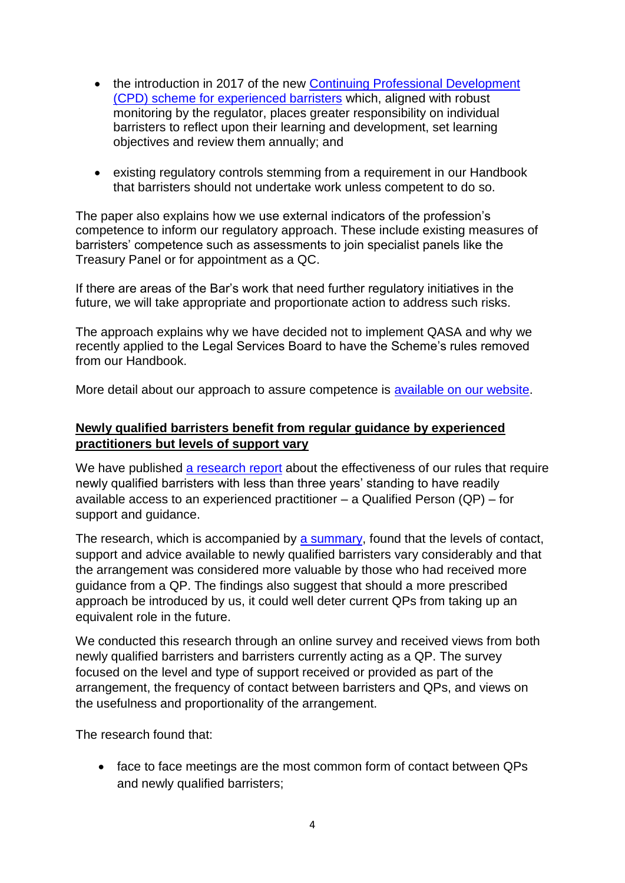- the introduction in 2017 of the new Continuing Professional Development [\(CPD\) scheme for experienced barristers](https://www.barstandardsboard.org.uk/regulatory-requirements/for-barristers/continuing-professional-development-from-1-january-2017/established-practitioners-programme/) which, aligned with robust monitoring by the regulator, places greater responsibility on individual barristers to reflect upon their learning and development, set learning objectives and review them annually; and
- existing regulatory controls stemming from a requirement in our Handbook that barristers should not undertake work unless competent to do so.

The paper also explains how we use external indicators of the profession's competence to inform our regulatory approach. These include existing measures of barristers' competence such as assessments to join specialist panels like the Treasury Panel or for appointment as a QC.

If there are areas of the Bar's work that need further regulatory initiatives in the future, we will take appropriate and proportionate action to address such risks.

The approach explains why we have decided not to implement QASA and why we recently applied to the Legal Services Board to have the Scheme's rules removed from our Handbook.

More detail about our approach to assure competence is [available on our website.](https://www.barstandardsboard.org.uk/media/1940966/assuring_the_competence_of_barristers_july_2018.pdf)

## **Newly qualified barristers benefit from regular guidance by experienced practitioners but levels of support vary**

We have published [a research](https://www.barstandardsboard.org.uk/media/1941342/qualified_persons_report_july_2018.pdf) report about the effectiveness of our rules that require newly qualified barristers with less than three years' standing to have readily available access to an experienced practitioner – a Qualified Person (QP) – for support and guidance.

The research, which is accompanied by a [summary,](https://www.barstandardsboard.org.uk/media/1941338/qualified_persons_-_research_summary_july_2018.pdf) found that the levels of contact, support and advice available to newly qualified barristers vary considerably and that the arrangement was considered more valuable by those who had received more guidance from a QP. The findings also suggest that should a more prescribed approach be introduced by us, it could well deter current QPs from taking up an equivalent role in the future.

We conducted this research through an online survey and received views from both newly qualified barristers and barristers currently acting as a QP. The survey focused on the level and type of support received or provided as part of the arrangement, the frequency of contact between barristers and QPs, and views on the usefulness and proportionality of the arrangement.

The research found that:

• face to face meetings are the most common form of contact between QPs and newly qualified barristers;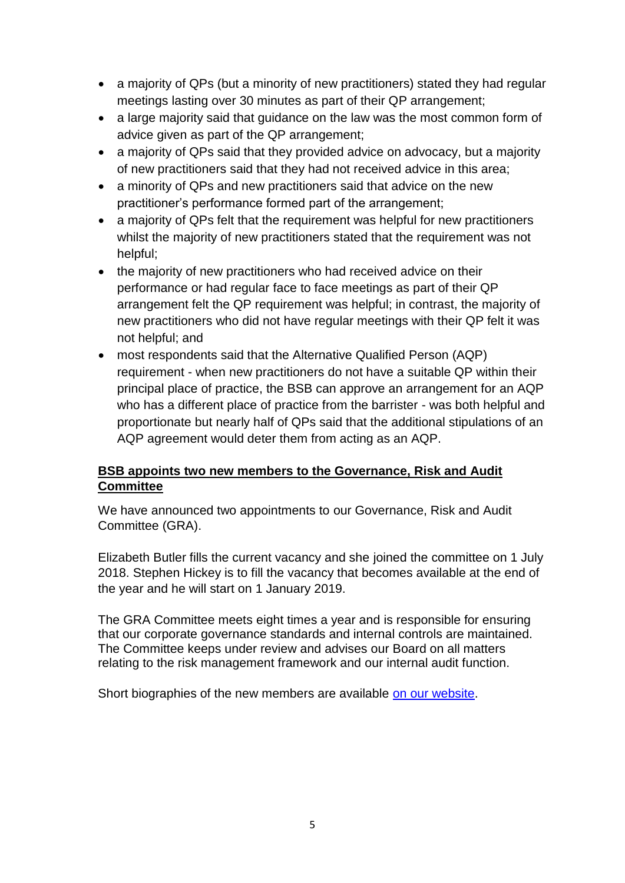- a majority of QPs (but a minority of new practitioners) stated they had regular meetings lasting over 30 minutes as part of their QP arrangement;
- a large majority said that guidance on the law was the most common form of advice given as part of the QP arrangement;
- a majority of QPs said that they provided advice on advocacy, but a majority of new practitioners said that they had not received advice in this area;
- a minority of QPs and new practitioners said that advice on the new practitioner's performance formed part of the arrangement;
- a majority of QPs felt that the requirement was helpful for new practitioners whilst the majority of new practitioners stated that the requirement was not helpful;
- the majority of new practitioners who had received advice on their performance or had regular face to face meetings as part of their QP arrangement felt the QP requirement was helpful; in contrast, the majority of new practitioners who did not have regular meetings with their QP felt it was not helpful; and
- most respondents said that the Alternative Qualified Person (AQP) requirement - when new practitioners do not have a suitable QP within their principal place of practice, the BSB can approve an arrangement for an AQP who has a different place of practice from the barrister - was both helpful and proportionate but nearly half of QPs said that the additional stipulations of an AQP agreement would deter them from acting as an AQP.

# **BSB appoints two new members to the Governance, Risk and Audit Committee**

We have announced two appointments to our Governance, Risk and Audit Committee (GRA).

Elizabeth Butler fills the current vacancy and she joined the committee on 1 July 2018. Stephen Hickey is to fill the vacancy that becomes available at the end of the year and he will start on 1 January 2019.

The GRA Committee meets eight times a year and is responsible for ensuring that our corporate governance standards and internal controls are maintained. The Committee keeps under review and advises our Board on all matters relating to the risk management framework and our internal audit function.

Short biographies of the new members are available [on our website.](https://www.barstandardsboard.org.uk/about-bar-standards-board/how-we-do-it/our-governance/our-committees/governance,-risk-audit-committee/)